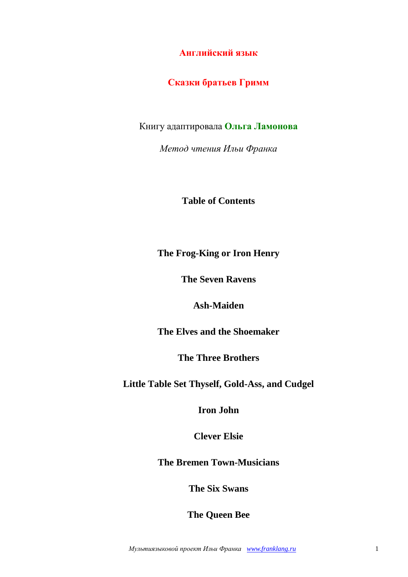**Английский язык**

# **Сказки братьев Гримм**

Книгу адаптировала **Ольга Ламонова**

*Метод чтения Ильи Франка*

**Table of Contents**

## **The Frog-King or Iron Henry**

**The Seven Ravens**

## **Ash-Maiden**

**The Elves and the Shoemaker**

**The Three Brothers**

**Little Table Set Thyself, Gold-Ass, and Cudgel**

**Iron John**

**Clever Elsie**

**The Bremen Town-Musicians**

**The Six Swans**

**The Queen Bee**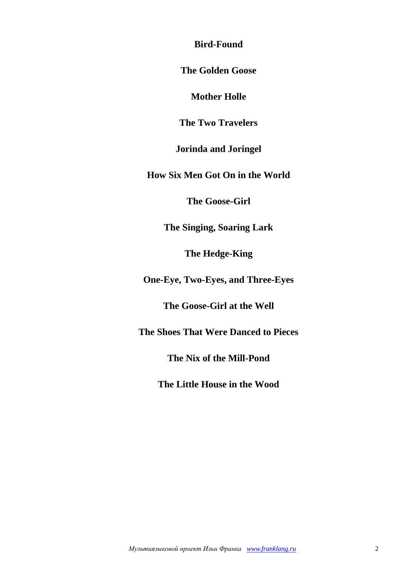**Bird-Found**

**The Golden Goose**

**Mother Holle**

**The Two Travelers**

**Jorinda and Joringel**

**How Six Men Got On in the World**

**The Goose-Girl**

**The Singing, Soaring Lark**

**The Hedge-King**

**One-Eye, Two-Eyes, and Three-Eyes**

**The Goose-Girl at the Well**

**The Shoes That Were Danced to Pieces**

**The Nix of the Mill-Pond**

**The Little House in the Wood**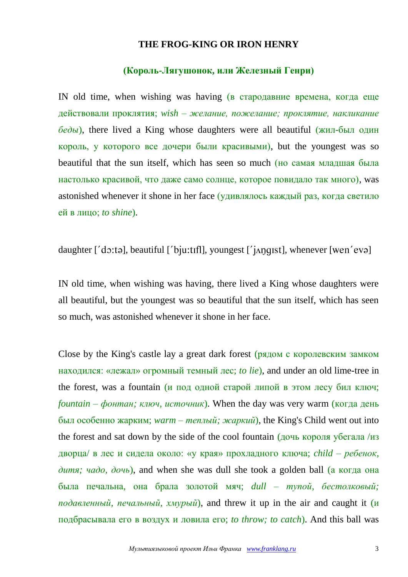#### **THE FROG-KING OR IRON HENRY**

### **(Король-Лягушонок, или Железный Генри)**

IN old time, when wishing was having (в стародавние времена, когда еще действовали проклятия; *wish – желание, пожелание; проклятие, накликание беды*), there lived a King whose daughters were all beautiful (жил-был один король, у которого все дочери были красивыми), but the youngest was so beautiful that the sun itself, which has seen so much (но самая младшая была настолько красивой, что даже само солнце, которое повидало так много), was astonished whenever it shone in her face (удивлялось каждый раз, когда светило ей в лицо; *to shine*).

daughter  $[$ 'do:tə], beautiful  $[$ 'bju:tɪfl], youngest  $[$ 'j $\Delta$ ngist], whenever  $[$ wen'evə $]$ 

IN old time, when wishing was having, there lived a King whose daughters were all beautiful, but the youngest was so beautiful that the sun itself, which has seen so much, was astonished whenever it shone in her face.

Close by the King's castle lay a great dark forest (рядом с королевским замком находился: «лежал» огромный темный лес; *to lie*), and under an old lime-tree in the forest, was a fountain (и под одной старой липой в этом лесу бил ключ; *fountain – фонтан; ключ, источник*). When the day was very warm (когда день был особенно жарким; *warm – теплый; жаркий*), the King's Child went out into the forest and sat down by the side of the cool fountain  $(204)$  короля убегала /из дворца/ в лес и сидела около: «у края» прохладного ключа; *child – ребенок, дитя; чадо, дочь*), and when she was dull she took a golden ball (а когда она была печальна, она брала золотой мяч; *dull – тупой, бестолковый; подавленный, печальный, хмурый*), and threw it up in the air and caught it (и подбрасывала его в воздух и ловила его; *to throw; to catch*). And this ball was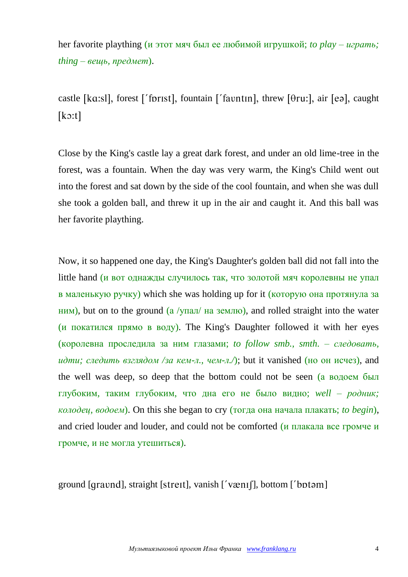her favorite plaything (и этот мяч был ее любимой игрушкой; *to play – играть; thing – вещь, предмет*).

castle [ka:sl], forest ['fprist], fountain ['favntin], threw [ $\theta$ ru:], air [ea], caught  $[k<sub>0</sub>:t]$ 

Close by the King's castle lay a great dark forest, and under an old lime-tree in the forest, was a fountain. When the day was very warm, the King's Child went out into the forest and sat down by the side of the cool fountain, and when she was dull she took a golden ball, and threw it up in the air and caught it. And this ball was her favorite plaything.

Now, it so happened one day, the King's Daughter's golden ball did not fall into the little hand (и вот однажды случилось так, что золотой мяч королевны не упал в маленькую ручку) which she was holding up for it (которую она протянула за ним), but on to the ground (а /упал/ на землю), and rolled straight into the water (и покатился прямо в воду). The King's Daughter followed it with her eyes (королевна проследила за ним глазами; *to follow smb., smth. – следовать, идти; следить взглядом /за кем-л., чем-л.*/); but it vanished (но он исчез), and the well was deep, so deep that the bottom could not be seen (а водоем был глубоким, таким глубоким, что дна его не было видно; *well – родник; колодец, водоем*). On this she began to cry (тогда она начала плакать; *to begin*), and cried louder and louder, and could not be comforted (и плакала все громче и громче, и не могла утешиться).

ground [qravnd], straight [streɪt], vanish ['vænɪf], bottom ['bptəm]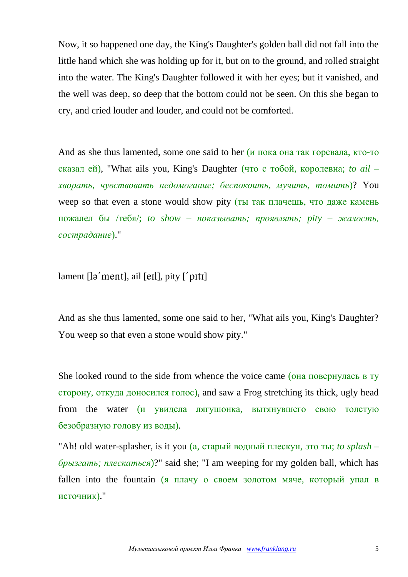Now, it so happened one day, the King's Daughter's golden ball did not fall into the little hand which she was holding up for it, but on to the ground, and rolled straight into the water. The King's Daughter followed it with her eyes; but it vanished, and the well was deep, so deep that the bottom could not be seen. On this she began to cry, and cried louder and louder, and could not be comforted.

And as she thus lamented, some one said to her (и пока она так горевала, кто-то сказал ей), "What ails you, King's Daughter (что с тобой, королевна; *to ail – хворать, чувствовать недомогание; беспокоить, мучить, томить*)? You weep so that even a stone would show pity (ты так плачешь, что даже камень пожалел бы /тебя/; *to show – показывать; проявлять; pity – жалость, сострадание*)."

lament  $\lceil \frac{1}{2} \text{ment} \rceil$ , ail  $\lceil \text{ell} \rceil$ , pity  $\lceil \text{ptt} \rceil$ 

And as she thus lamented, some one said to her, "What ails you, King's Daughter? You weep so that even a stone would show pity."

She looked round to the side from whence the voice came (она повернулась в ту сторону, откуда доносился голос), and saw a Frog stretching its thick, ugly head from the water (и увидела лягушонка, вытянувшего свою толстую безобразную голову из воды).

"Ah! old water-splasher, is it you (а, старый водный плескун, это ты; *to splash – брызгать; плескаться*)?" said she; "I am weeping for my golden ball, which has fallen into the fountain (я плачу о своем золотом мяче, который упал в источник)."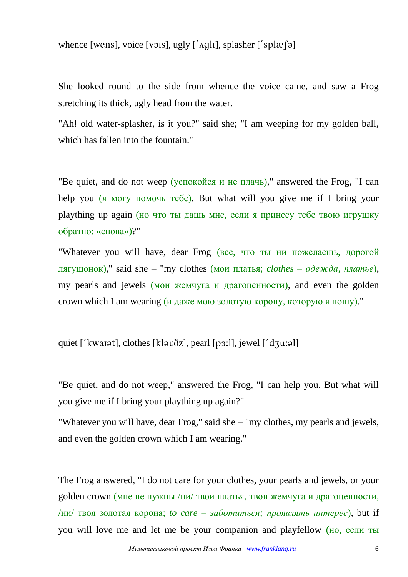whence [wens], voice [vɔɪs], ugly [' $\alpha$ qlı], splasher ['splæ[ə]

She looked round to the side from whence the voice came, and saw a Frog stretching its thick, ugly head from the water.

"Ah! old water-splasher, is it you?" said she; "I am weeping for my golden ball, which has fallen into the fountain."

"Be quiet, and do not weep (успокойся и не плачь)," answered the Frog, "I can help you (я могу помочь тебе). But what will you give me if I bring your plaything up again (но что ты дашь мне, если я принесу тебе твою игрушку обратно: «снова»)?"

"Whatever you will have, dear Frog (все, что ты ни пожелаешь, дорогой лягушонок)," said she *–* "my clothes (мои платья; *clothes – одежда, платье*), my pearls and jewels (мои жемчуга и драгоценности), and even the golden crown which I am wearing (и даже мою золотую корону, которую я ношу)."

quiet  $\int$  kwarat], clothes  $[k]$  averal  $[p3:1]$ , jewel  $\int$  dzu:al]

"Be quiet, and do not weep," answered the Frog, "I can help you. But what will you give me if I bring your plaything up again?"

"Whatever you will have, dear Frog," said she *–* "my clothes, my pearls and jewels, and even the golden crown which I am wearing."

The Frog answered, "I do not care for your clothes, your pearls and jewels, or your golden crown (мне не нужны /ни/ твои платья, твои жемчуга и драгоценности, /ни/ твоя золотая корона; *to care – заботиться; проявлять интерес*), but if you will love me and let me be your companion and playfellow (но, если ты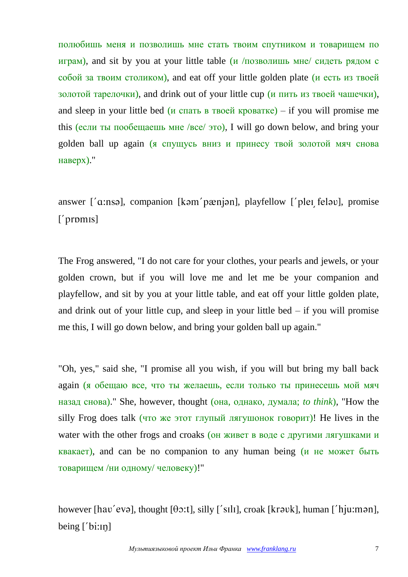полюбишь меня и позволишь мне стать твоим спутником и товарищем по играм), and sit by you at your little table (и  $/$ позволишь мне $/$  сидеть рядом с собой за твоим столиком), and eat off your little golden plate (и есть из твоей золотой тарелочки), and drink out of your little cup (и пить из твоей чашечки), and sleep in your little bed (*и* спать в твоей кроватке) – if you will promise me this (если ты пообещаешь мне /все/ это), I will go down below, and bring your golden ball up again (я спущусь вниз и принесу твой золотой мяч снова наверх)."

answer ['a:nsə], companion [kəm'pænjən], playfellow ['pleɪ feləv], promise  $['promis]$ 

The Frog answered, "I do not care for your clothes, your pearls and jewels, or your golden crown, but if you will love me and let me be your companion and playfellow, and sit by you at your little table, and eat off your little golden plate, and drink out of your little cup, and sleep in your little bed  $-$  if you will promise me this, I will go down below, and bring your golden ball up again."

"Oh, yes," said she, "I promise all you wish, if you will but bring my ball back again (я обещаю все, что ты желаешь, если только ты принесешь мой мяч назад снова)." She, however, thought (она, однако, думала; *to think*), "How the silly Frog does talk (что же этот глупый лягушонок говорит)! He lives in the water with the other frogs and croaks (он живет в воде с другими лягушками и квакает), and can be no companion to any human being (и не может быть товарищем /ни одному/ человеку)!"

however [hav'evə], thought [ $\theta$ o:t], silly ['sɪlɪ], croak [krəvk], human ['hju:mən], being  $[$  bi: $\infty$ ]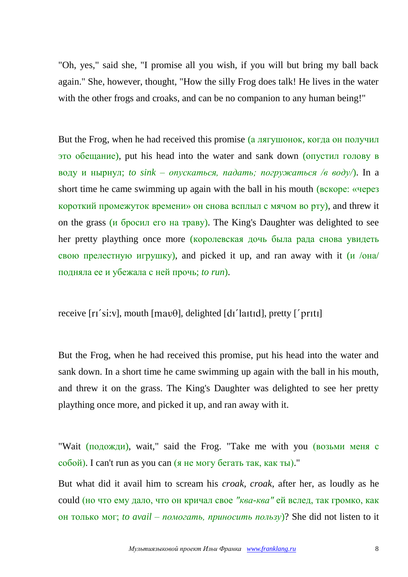"Oh, yes," said she, "I promise all you wish, if you will but bring my ball back again." She, however, thought, "How the silly Frog does talk! He lives in the water with the other frogs and croaks, and can be no companion to any human being!"

But the Frog, when he had received this promise (а лягушонок, когда он получил это обещание), put his head into the water and sank down (опустил голову в воду и нырнул; *to sink – опускаться, падать; погружаться /в воду/*). In a short time he came swimming up again with the ball in his mouth (вскоре: «через короткий промежуток времени» он снова всплыл с мячом во рту), and threw it on the grass (и бросил его на траву). The King's Daughter was delighted to see her pretty plaything once more (королевская дочь была рада снова увидеть свою прелестную игрушку), and picked it up, and ran away with it (и /она/ подняла ее и убежала с ней прочь; *to run*).

receive  $[r_1's_i:y]$ , mouth  $[mav\theta]$ , delighted  $[d_1']$  antidl, pretty  $['prrt_1]$ 

But the Frog, when he had received this promise, put his head into the water and sank down. In a short time he came swimming up again with the ball in his mouth, and threw it on the grass. The King's Daughter was delighted to see her pretty plaything once more, and picked it up, and ran away with it.

"Wait (подожди), wait," said the Frog. "Take me with you (возьми меня с собой). I can't run as you can (я не могу бегать так, как ты)."

But what did it avail him to scream his *croak, croak*, after her, as loudly as he could (но что ему дало, что он кричал свое *"ква-ква"* ей вслед, так громко, как он только мог; *to avail – помогать, приносить пользу*)? She did not listen to it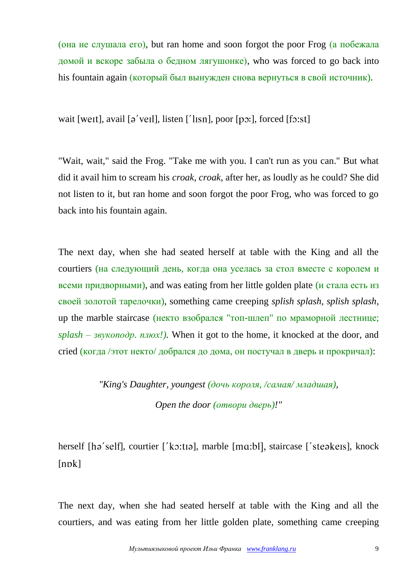(она не слушала его), but ran home and soon forgot the poor Frog (а побежала домой и вскоре забыла о бедном лягушонке), who was forced to go back into his fountain again (который был вынужден снова вернуться в свой источник).

wait [weɪt], avail [ $\sigma$ 'veɪl], listen ['lɪsn], poor [pɔ:], forced [fɔ:st]

"Wait, wait," said the Frog. "Take me with you. I can't run as you can." But what did it avail him to scream his *croak, croak*, after her, as loudly as he could? She did not listen to it, but ran home and soon forgot the poor Frog, who was forced to go back into his fountain again.

The next day, when she had seated herself at table with the King and all the courtiers (на следующий день, когда она уселась за стол вместе с королем и всеми придворными), and was eating from her little golden plate (и стала есть из своей золотой тарелочки), something came creeping *splish splash, splish splash*, up the marble staircase (некто взобрался "топ-шлеп" по мраморной лестнице; *splash – звукоподр. плюх!).* When it got to the home, it knocked at the door, and cried (когда /этот некто/ добрался до дома, он постучал в дверь и прокричал):

> *"King's Daughter, youngest (дочь короля, /самая/ младшая), Open the door (отвори дверь)!"*

herself [hə'self], courtier ['kɔ:tɪə], marble [mɑ:bl], staircase ['steəkeɪs], knock  $[npk]$ 

The next day, when she had seated herself at table with the King and all the courtiers, and was eating from her little golden plate, something came creeping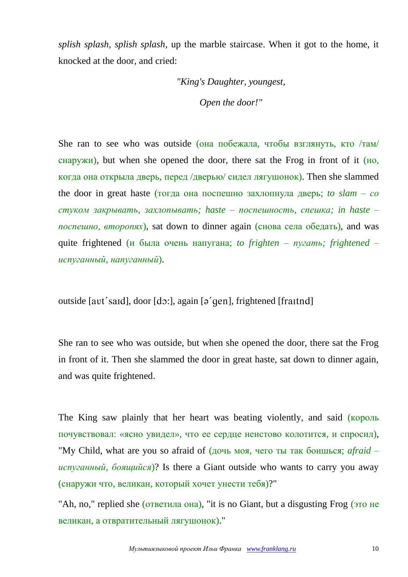*splish splash, splish splash*, up the marble staircase. When it got to the home, it knocked at the door, and cried:

> *"King's Daughter, youngest, Open the door!"*

She ran to see who was outside (она побежала, чтобы взглянуть, кто /там/ снаружи), but when she opened the door, there sat the Frog in front of it  $(H<sub>O</sub>)$ , когда она открыла дверь, перед /дверью/ сидел лягушонок). Then she slammed the door in great haste (тогда она поспешно захлопнула дверь; *to slam – со стуком закрывать, захлопывать; haste – поспешность, спешка; in haste – поспешно, второпях*), sat down to dinner again (снова села обедать), and was quite frightened (и была очень напугана; *to frighten – пугать; frightened – испуганный, напуганный*).

outside [avt' said], door [dɔ:], again [ə' gen], frightened [fraitnd]

She ran to see who was outside, but when she opened the door, there sat the Frog in front of it. Then she slammed the door in great haste, sat down to dinner again, and was quite frightened.

The King saw plainly that her heart was beating violently, and said (король почувствовал: «ясно увидел», что ее сердце неистово колотится, и спросил), "My Child, what are you so afraid of (дочь моя, чего ты так боишься; *afraid – испуганный, боящийся*)? Is there a Giant outside who wants to carry you away (снаружи что, великан, который хочет унести тебя)?"

"Ah, no," replied she (ответила она), "it is no Giant, but a disgusting Frog (это не великан, а отвратительный лягушонок)."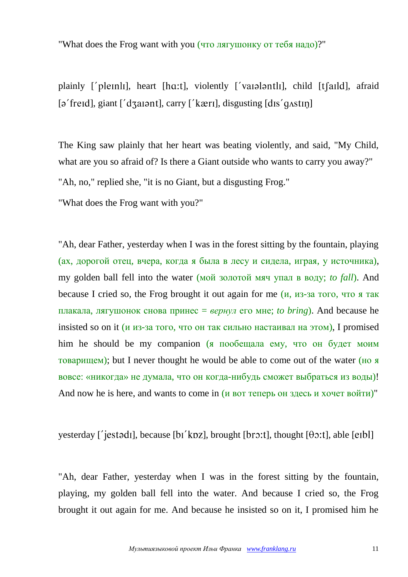"What does the Frog want with you (что лягушонку от тебя надо)?"

plainly ['pleinli], heart [hɑ:t], violently ['vaialantli], child [t[aild], afraid  $\lceil$  a' freid], giant  $\lceil$ ' d $\lceil$  at and  $\lceil$ , carry  $\lceil$ ' kæri], disgusting  $\lceil$  dis' q $\lceil$  at and  $\lceil$ 

The King saw plainly that her heart was beating violently, and said, "My Child, what are you so afraid of? Is there a Giant outside who wants to carry you away?"

"Ah, no," replied she, "it is no Giant, but a disgusting Frog."

"What does the Frog want with you?"

"Ah, dear Father, yesterday when I was in the forest sitting by the fountain, playing (ах, дорогой отец, вчера, когда я была в лесу и сидела, играя, у источника), my golden ball fell into the water (мой золотой мяч упал в воду; *to fall*). And because I cried so, the Frog brought it out again for me  $(u, u_3)$ -за того, что я так плакала, лягушонок снова принес = *вернул* его мне; *to bring*). And because he insisted so on it (и из-за того, что он так сильно настаивал на этом), I promised him he should be my companion (я пообещала ему, что он будет моим товарищем); but I never thought he would be able to come out of the water (но я вовсе: «никогда» не думала, что он когда-нибудь сможет выбраться из воды)! And now he is here, and wants to come in (и вот теперь он здесь и хочет войти)"

yesterday ['jestədi], because [bi'kpz], brought [brɔ:t], thought  $[\theta \circ t]$ , able [eibl]

"Ah, dear Father, yesterday when I was in the forest sitting by the fountain, playing, my golden ball fell into the water. And because I cried so, the Frog brought it out again for me. And because he insisted so on it, I promised him he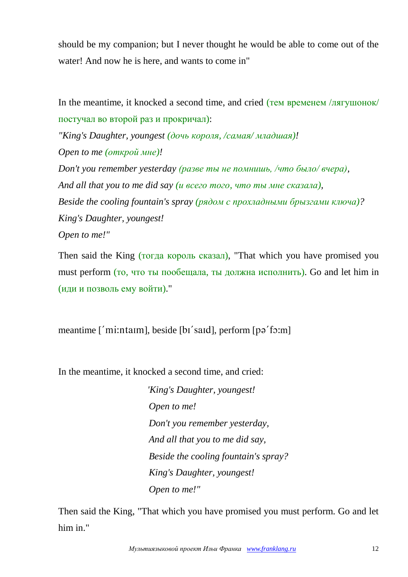should be my companion; but I never thought he would be able to come out of the water! And now he is here, and wants to come in"

In the meantime, it knocked a second time, and cried (тем временем /лягушонок/ постучал во второй раз и прокричал):

*"King's Daughter, youngest (дочь короля, /самая/ младшая)! Open to me (открой мне)!*

*Don't you remember yesterday (разве ты не помнишь, /что было/ вчера), And all that you to me did say (и всего того, что ты мне сказала), Beside the cooling fountain's spray (рядом с прохладными брызгами ключа)? King's Daughter, youngest! Open to me!"*

Then said the King (тогда король сказал), "That which you have promised you must perform (то, что ты пообещала, ты должна исполнить). Go and let him in (иди и позволь ему войти)."

meantime ['mi:ntaim], beside [bi'said], perform [pə'fɔ:m]

In the meantime, it knocked a second time, and cried:

*"King's Daughter, youngest! Open to me! Don't you remember yesterday, And all that you to me did say, Beside the cooling fountain's spray? King's Daughter, youngest! Open to me!"*

Then said the King, "That which you have promised you must perform. Go and let him in."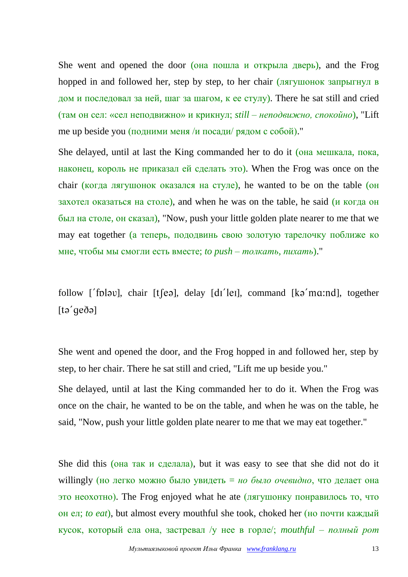She went and opened the door (она пошла и открыла дверь), and the Frog hopped in and followed her, step by step, to her chair (лягушонок запрыгнул в дом и последовал за ней, шаг за шагом, к ее стулу). There he sat still and cried (там он сел: «сел неподвижно» и крикнул; *still – неподвижно, спокойно*), "Lift me up beside you (подними меня /и посади/ рядом с собой)."

She delayed, until at last the King commanded her to do it (она мешкала, пока, наконец, король не приказал ей сделать это). When the Frog was once on the chair (когда лягушонок оказался на стуле), he wanted to be on the table (он захотел оказаться на столе), and when he was on the table, he said (и когда он был на столе, он сказал), "Now, push your little golden plate nearer to me that we may eat together (а теперь, пододвинь свою золотую тарелочку поближе ко мне, чтобы мы смогли есть вместе; *to push – толкать, пихать*)."

follow ['folav], chair [ $t$ [ $e$ a], delay [dɪ' $\text{ }$ leɪ], command [ $k$ a'ma:nd], together  $[ta'$ gedə $]$ 

She went and opened the door, and the Frog hopped in and followed her, step by step, to her chair. There he sat still and cried, "Lift me up beside you."

She delayed, until at last the King commanded her to do it. When the Frog was once on the chair, he wanted to be on the table, and when he was on the table, he said, "Now, push your little golden plate nearer to me that we may eat together."

She did this (она так и сделала), but it was easy to see that she did not do it willingly (но легко можно было увидеть = *но было очевидно*, что делает она это неохотно). The Frog enjoyed what he ate (лягушонку понравилось то, что он ел; *to eat*), but almost every mouthful she took, choked her (но почти каждый кусок, который ела она, застревал /у нее в горле/; *mouthful – полный рот*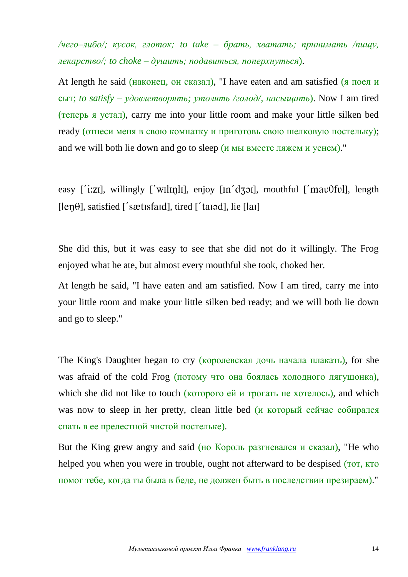*/чего–либо/; кусок, глоток; to take – брать, хватать; принимать /пищу, лекарство/; to choke – душить; подавиться, поперхнуться*).

At length he said (наконец, он сказал), "I have eaten and am satisfied (я поел и сыт; *to satisfy – удовлетворять; утолять /голод/, насыщать*). Now I am tired (теперь я устал), carry me into your little room and make your little silken bed ready (отнеси меня в свою комнатку и приготовь свою шелковую постельку); and we will both lie down and go to sleep (и мы вместе ляжем и уснем)."

easy ['i:zi], willingly ['wilin]], enjoy  $\left[ \text{in}' \text{d} \cdot \text{d} \cdot \text{d} \right]$ , mouthful ['mav $\theta$ ful], length  $[len\theta]$ , satisfied ['sætisfaid], tired ['tail, lie [ $|$ ail]

She did this, but it was easy to see that she did not do it willingly. The Frog enjoyed what he ate, but almost every mouthful she took, choked her.

At length he said, "I have eaten and am satisfied. Now I am tired, carry me into your little room and make your little silken bed ready; and we will both lie down and go to sleep."

The King's Daughter began to cry (королевская дочь начала плакать), for she was afraid of the cold Frog (потому что она боялась холодного лягушонка), which she did not like to touch (которого ей и трогать не хотелось), and which was now to sleep in her pretty, clean little bed (и который сейчас собирался спать в ее прелестной чистой постельке).

But the King grew angry and said (но Король разгневался и сказал), "He who helped you when you were in trouble, ought not afterward to be despised ( $\overline{10T}$ ,  $\overline{K}$  $\overline{10}$ ) помог тебе, когда ты была в беде, не должен быть в последствии презираем)."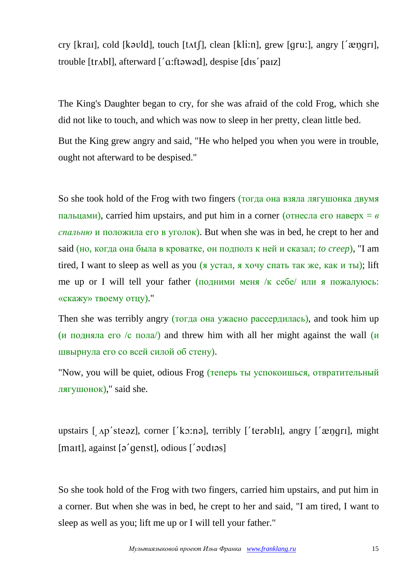cry [krai], cold [kəvld], touch [tʌtʃ], clean [kli:n], grew [qru:], angry ['ængri], trouble  $[trAb]$ , afterward  $[}'a$ : ftawad], despise  $[dis'$  paiz]

The King's Daughter began to cry, for she was afraid of the cold Frog, which she did not like to touch, and which was now to sleep in her pretty, clean little bed.

But the King grew angry and said, "He who helped you when you were in trouble, ought not afterward to be despised."

So she took hold of the Frog with two fingers (тогда она взяла лягушонка двумя пальцами), carried him upstairs, and put him in a corner (отнесла его наверх = *в спальню* и положила его в уголок). But when she was in bed, he crept to her and said (но, когда она была в кроватке, он подполз к ней и сказал; *to creep*), "I am tired, I want to sleep as well as you (я устал, я хочу спать так же, как и ты); lift me up or I will tell your father (подними меня /к себе/ или я пожалуюсь: «скажу» твоему отцу)."

Then she was terribly angry (тогда она ужасно рассердилась), and took him up (и подняла его /с пола) and threw him with all her might against the wall  $(u$ швырнула его со всей силой об стену).

"Now, you will be quiet, odious Frog (теперь ты успокоишься, отвратительный лягушонок)," said she.

upstairs  $\lceil$  Ap'steaz], corner  $\lceil$ 'ko:na], terribly  $\lceil$ 'terabli], angry  $\lceil$ 'ængri], might  $[$ mait], against  $[$ ə' $\gamma$ genst $]$ , odious  $[$ ' $\gamma$ əvdiəs $]$ 

So she took hold of the Frog with two fingers, carried him upstairs, and put him in a corner. But when she was in bed, he crept to her and said, "I am tired, I want to sleep as well as you; lift me up or I will tell your father."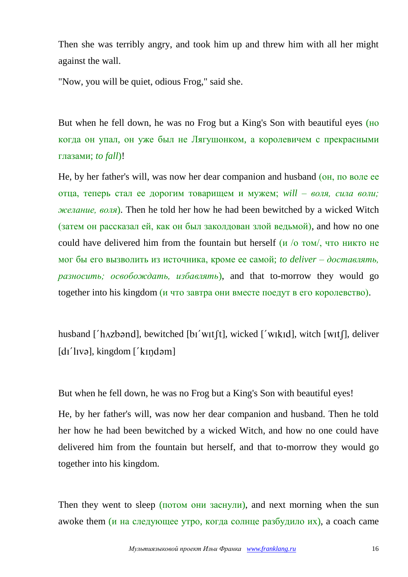Then she was terribly angry, and took him up and threw him with all her might against the wall.

"Now, you will be quiet, odious Frog," said she.

But when he fell down, he was no Frog but a King's Son with beautiful eyes (но когда он упал, он уже был не Лягушонком, а королевичем с прекрасными глазами; *to fall*)!

He, by her father's will, was now her dear companion and husband (он, по воле ее отца, теперь стал ее дорогим товарищем и мужем; *will – воля, сила воли; желание, воля*). Then he told her how he had been bewitched by a wicked Witch (затем он рассказал ей, как он был заколдован злой ведьмой), and how no one could have delivered him from the fountain but herself (*и* /<sub>0</sub> том/, что никто не мог бы его вызволить из источника, кроме ее самой; *to deliver – доставлять, разносить; освобождать, избавлять*), and that to-morrow they would go together into his kingdom (и что завтра они вместе поедут в его королевство).

husband  $\int'$ h $\Delta$ zbənd], bewitched  $\lceil b \int'$ wit $\lceil t \rceil$ , wicked  $\int'$ wikid], witch  $\lceil \int'$ wit $\lceil \cdot \rceil$ , deliver  $\lceil$ dɪ'lɪvə], kingdom  $\lceil$ 'kɪŋdəm]

But when he fell down, he was no Frog but a King's Son with beautiful eyes!

He, by her father's will, was now her dear companion and husband. Then he told her how he had been bewitched by a wicked Witch, and how no one could have delivered him from the fountain but herself, and that to-morrow they would go together into his kingdom.

Then they went to sleep  $($ потом они заснули), and next morning when the sun awoke them (и на следующее утро, когда солнце разбудило их), a coach came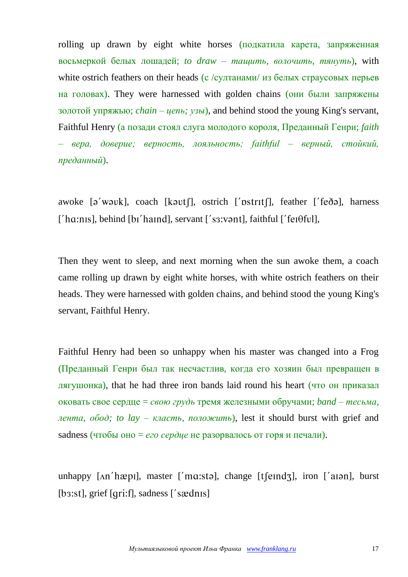rolling up drawn by eight white horses (подкатила карета, запряженная восьмеркой белых лошадей; *to draw – тащить, волочить, тянуть*), with white ostrich feathers on their heads (с /султанами/ из белых страусовых перьев на головах). They were harnessed with golden chains (они были запряжены золотой упряжью; *chain – цепь; узы*), and behind stood the young King's servant, Faithful Henry (а позади стоял слуга молодого короля, Преданный Генри; *faith – вера, доверие; верность, лояльность; faithful – верный, стойкий, преданный*).

awoke  $[\partial'$  w $[\partial \partial \theta]$ , coach  $[\partial \theta]$ , ostrich  $[\partial \theta]$ , feather  $[\partial \theta]$ , harness  $[$ 'ha:n $|$ , behind  $[$ b $]$ 'ha $|$ nd $]$ , servant  $[$ 's $\alpha$ :v $\alpha$ nt $]$ , faithful  $[$ 'fe $\alpha$  $\beta$ f $\nu$  $]$ ,

Then they went to sleep, and next morning when the sun awoke them, a coach came rolling up drawn by eight white horses, with white ostrich feathers on their heads. They were harnessed with golden chains, and behind stood the young King's servant, Faithful Henry.

Faithful Henry had been so unhappy when his master was changed into a Frog (Преданный Генри был так несчастлив, когда его хозяин был превращен в лягушонка), that he had three iron bands laid round his heart (что он приказал оковать свое сердце = *свою грудь* тремя железными обручами; *band – тесьма, лента, обод; to lay – класть, положить*), lest it should burst with grief and sadness (чтобы оно = *его сердце* не разорвалось от горя и печали).

unhappy  $\lceil \Delta n \rceil$  hæpil, master  $\lceil \Delta n \rceil$ , change  $\lceil \ell \rceil$  (eind $\lceil \ell \rceil$ ), iron  $\lceil \ell \rceil$  and  $\lceil \ell \rceil$  $[$ b3:st], grief  $[$ qri:f], sadness  $[$ 's  $\mathcal{R}$ dn $\mathcal{S}$ ]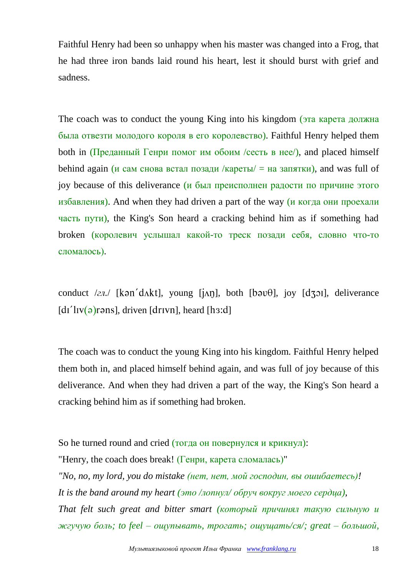Faithful Henry had been so unhappy when his master was changed into a Frog, that he had three iron bands laid round his heart, lest it should burst with grief and sadness.

The coach was to conduct the young King into his kingdom (эта карета должна была отвезти молодого короля в его королевство). Faithful Henry helped them both in  $(\Pi$ реданный Генри помог им обоим /сесть в нее/), and placed himself behind again (и сам снова встал позади /кареты/  $=$  на запятки), and was full of joy because of this deliverance (и был преисполнен радости по причине этого избавления). And when they had driven a part of the way (и когда они проехали часть пути), the King's Son heard a cracking behind him as if something had broken (королевич услышал какой-то треск позади себя, словно что-то сломалось).

conduct  $\ell z n$ . [kən'd $\lambda$ kt], young [ $\lambda$ n], both [bəv $\theta$ ], joy [d $\lambda$ 31], deliverance  $\left[ \frac{d}{d} \right]$  [  $\left[ \frac{d}{d} \right]$  |  $\left[ \frac{d}{d} \right]$  |  $\left[ \frac{d}{d} \right]$  |  $\left[ \frac{d}{d} \right]$  |  $\left[ \frac{d}{d} \right]$  |  $\left[ \frac{d}{d} \right]$  |  $\left[ \frac{d}{d} \right]$  |  $\left[ \frac{d}{d} \right]$  |  $\left[ \frac{d}{d} \right]$  |  $\left[ \frac{d}{d} \right]$  |  $\left[ \frac{d}{d} \right]$  |  $\left[ \$ 

The coach was to conduct the young King into his kingdom. Faithful Henry helped them both in, and placed himself behind again, and was full of joy because of this deliverance. And when they had driven a part of the way, the King's Son heard a cracking behind him as if something had broken.

So he turned round and cried (тогда он повернулся и крикнул): "Henry, the coach does break! (Генри, карета сломалась)" *"No, no, my lord, you do mistake (нет, нет, мой господин, вы ошибаетесь)! It is the band around my heart (это /лопнул/ обруч вокруг моего сердца), That felt such great and bitter smart (который причинял такую сильную и жгучую боль; to feel – ощупывать, трогать; ощущать/ся/; great – большой,*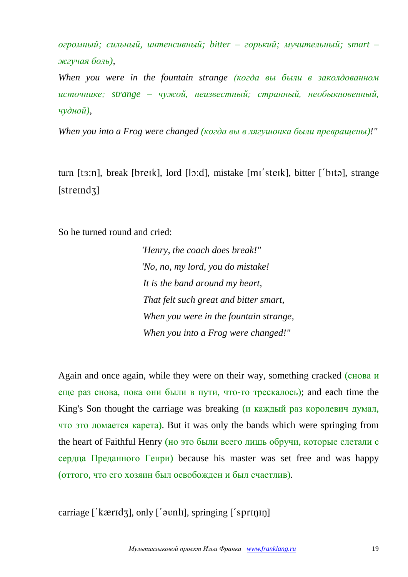*огромный; сильный, интенсивный; bitter – горький; мучительный; smart – жгучая боль),*

*When you were in the fountain strange (когда вы были в заколдованном источнике; strange – чужой, неизвестный; странный, необыкновенный, чудной),*

*When you into a Frog were changed (когда вы в лягушонка были превращены)!"*

turn [t3:n], break [breik], lord [lo:d], mistake [mi'steik], bitter ['bitə], strange  $[strength]$ 

So he turned round and cried:

*"Henry, the coach does break!" "No, no, my lord, you do mistake! It is the band around my heart, That felt such great and bitter smart, When you were in the fountain strange, When you into a Frog were changed!"*

Again and once again, while they were on their way, something cracked (снова и еще раз снова, пока они были в пути, что-то трескалось); and each time the King's Son thought the carriage was breaking (*и каждый раз королевич думал*, что это ломается карета). But it was only the bands which were springing from the heart of Faithful Henry (но это были всего лишь обручи, которые слетали с сердца Преданного Генри) because his master was set free and was happy (оттого, что его хозяин был освобожден и был счастлив).

carriage  $[$ *'k* $æridz$ ], only  $[$ ' $\rho$ unlı], springing  $[$ ' $\rho$ sprin $n$ n]